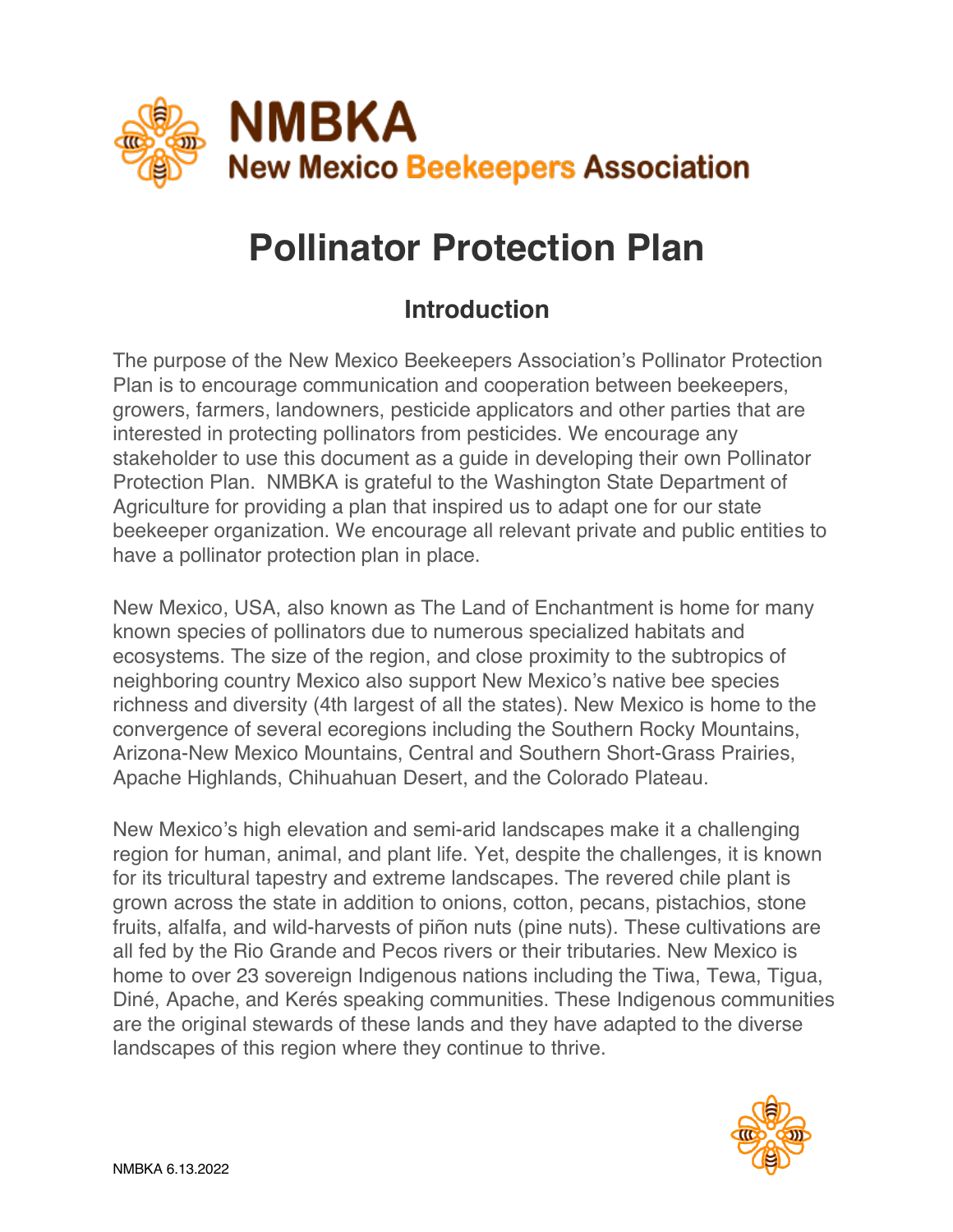

# **Pollinator Protection Plan**

# **Introduction**

The purpose of the New Mexico Beekeepers Association's Pollinator Protection Plan is to encourage communication and cooperation between beekeepers, growers, farmers, landowners, pesticide applicators and other parties that are interested in protecting pollinators from pesticides. We encourage any stakeholder to use this document as a guide in developing their own Pollinator Protection Plan. NMBKA is grateful to the Washington State Department of Agriculture for providing a plan that inspired us to adapt one for our state beekeeper organization. We encourage all relevant private and public entities to have a pollinator protection plan in place.

New Mexico, USA, also known as The Land of Enchantment is home for many known species of pollinators due to numerous specialized habitats and ecosystems. The size of the region, and close proximity to the subtropics of neighboring country Mexico also support New Mexico's native bee species richness and diversity (4th largest of all the states). New Mexico is home to the convergence of several ecoregions including the Southern Rocky Mountains, Arizona-New Mexico Mountains, Central and Southern Short-Grass Prairies, Apache Highlands, Chihuahuan Desert, and the Colorado Plateau.

New Mexico's high elevation and semi-arid landscapes make it a challenging region for human, animal, and plant life. Yet, despite the challenges, it is known for its tricultural tapestry and extreme landscapes. The revered chile plant is grown across the state in addition to onions, cotton, pecans, pistachios, stone fruits, alfalfa, and wild-harvests of piñon nuts (pine nuts). These cultivations are all fed by the Rio Grande and Pecos rivers or their tributaries. New Mexico is home to over 23 sovereign Indigenous nations including the Tiwa, Tewa, Tigua, Diné, Apache, and Kerés speaking communities. These Indigenous communities are the original stewards of these lands and they have adapted to the diverse landscapes of this region where they continue to thrive.

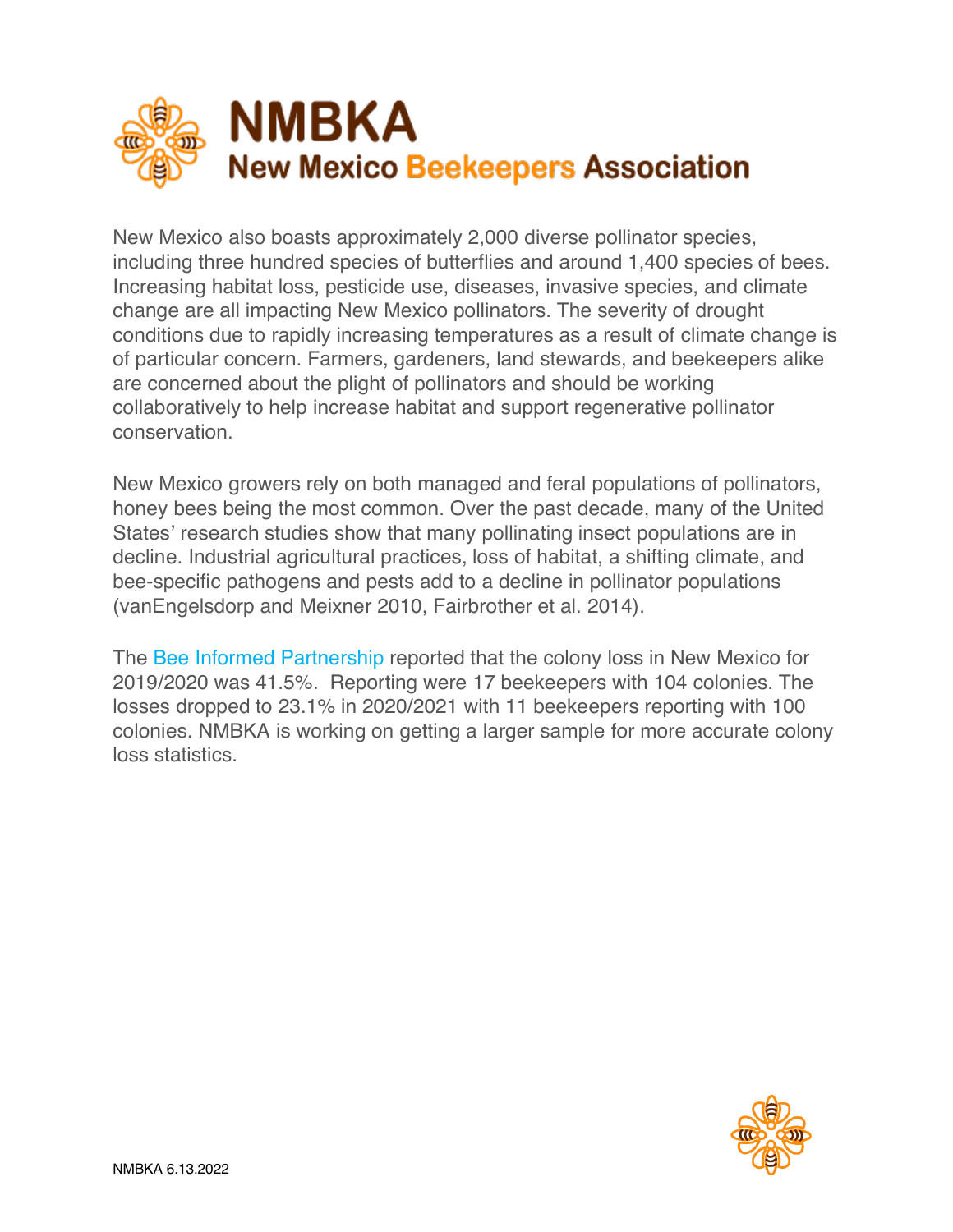

New Mexico also boasts approximately 2,000 diverse pollinator species, including three hundred species of butterflies and around 1,400 species of bees. Increasing habitat loss, pesticide use, diseases, invasive species, and climate change are all impacting New Mexico pollinators. The severity of drought conditions due to rapidly increasing temperatures as a result of climate change is of particular concern. Farmers, gardeners, land stewards, and beekeepers alike are concerned about the plight of pollinators and should be working collaboratively to help increase habitat and support regenerative pollinator conservation.

New Mexico growers rely on both managed and feral populations of pollinators, honey bees being the most common. Over the past decade, many of the United States' research studies show that many pollinating insect populations are in decline. Industrial agricultural practices, loss of habitat, a shifting climate, and bee-specific pathogens and pests add to a decline in pollinator populations (vanEngelsdorp and Meixner 2010, Fairbrother et al. 2014).

The Bee Informed Partnership reported that the colony loss in New Mexico for 2019/2020 was 41.5%. Reporting were 17 beekeepers with 104 colonies. The losses dropped to 23.1% in 2020/2021 with 11 beekeepers reporting with 100 colonies. NMBKA is working on getting a larger sample for more accurate colony loss statistics.

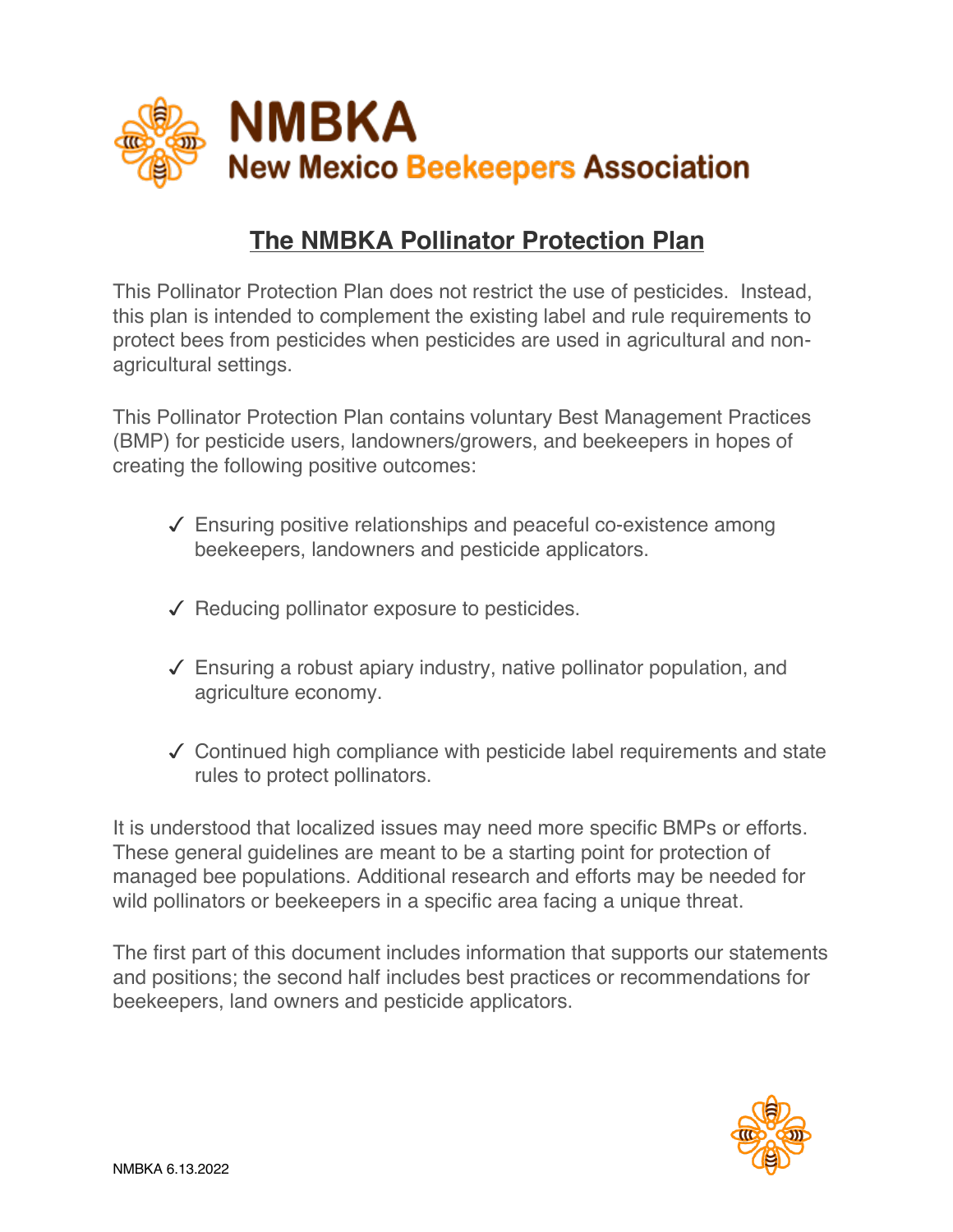

## **The NMBKA Pollinator Protection Plan**

This Pollinator Protection Plan does not restrict the use of pesticides. Instead, this plan is intended to complement the existing label and rule requirements to protect bees from pesticides when pesticides are used in agricultural and nonagricultural settings.

This Pollinator Protection Plan contains voluntary Best Management Practices (BMP) for pesticide users, landowners/growers, and beekeepers in hopes of creating the following positive outcomes:

- $\sqrt{\ }$  Ensuring positive relationships and peaceful co-existence among beekeepers, landowners and pesticide applicators.
- $\sqrt{\phantom{a}}$  Reducing pollinator exposure to pesticides.
- $\sqrt{\ }$  Ensuring a robust apiary industry, native pollinator population, and agriculture economy.
- $\checkmark$  Continued high compliance with pesticide label requirements and state rules to protect pollinators.

It is understood that localized issues may need more specific BMPs or efforts. These general guidelines are meant to be a starting point for protection of managed bee populations. Additional research and efforts may be needed for wild pollinators or beekeepers in a specific area facing a unique threat.

The first part of this document includes information that supports our statements and positions; the second half includes best practices or recommendations for beekeepers, land owners and pesticide applicators.

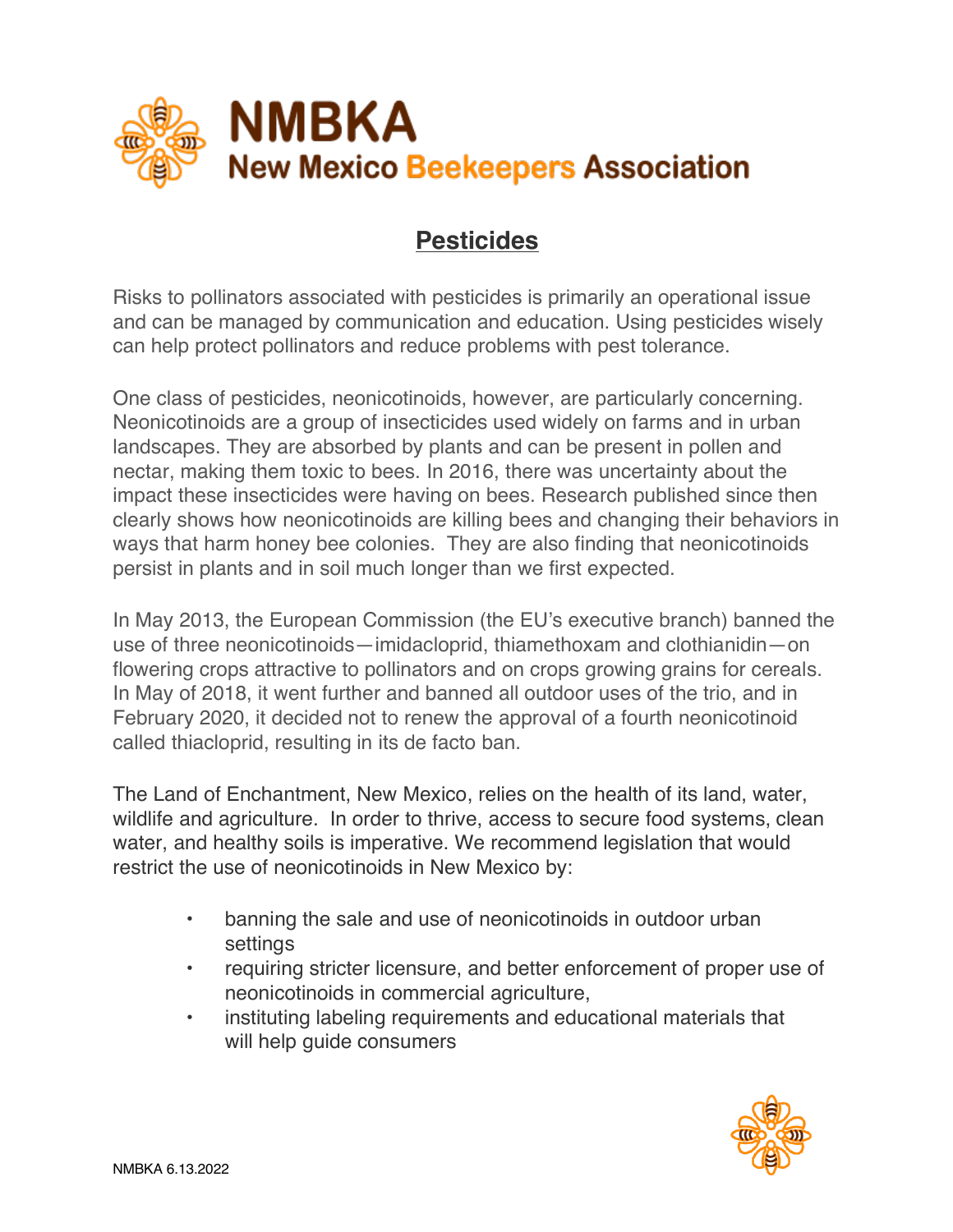

# **Pesticides**

Risks to pollinators associated with pesticides is primarily an operational issue and can be managed by communication and education. Using pesticides wisely can help protect pollinators and reduce problems with pest tolerance.

One class of pesticides, neonicotinoids, however, are particularly concerning. Neonicotinoids are a group of insecticides used widely on farms and in urban landscapes. They are absorbed by plants and can be present in pollen and nectar, making them toxic to bees. In 2016, there was uncertainty about the impact these insecticides were having on bees. Research published since then clearly shows how neonicotinoids are killing bees and changing their behaviors in ways that harm honey bee colonies. They are also finding that neonicotinoids persist in plants and in soil much longer than we first expected.

In May 2013, the European Commission (the EU's executive branch) banned the use of three neonicotinoids—imidacloprid, thiamethoxam and clothianidin—on flowering crops attractive to pollinators and on crops growing grains for cereals. In May of 2018, it went further and banned all outdoor uses of the trio, and in February 2020, it decided not to renew the approval of a fourth neonicotinoid called thiacloprid, resulting in its de facto ban.

The Land of Enchantment, New Mexico, relies on the health of its land, water, wildlife and agriculture. In order to thrive, access to secure food systems, clean water, and healthy soils is imperative. We recommend legislation that would restrict the use of neonicotinoids in New Mexico by:

- banning the sale and use of neonicotinoids in outdoor urban settings
- requiring stricter licensure, and better enforcement of proper use of neonicotinoids in commercial agriculture,
- instituting labeling requirements and educational materials that will help guide consumers

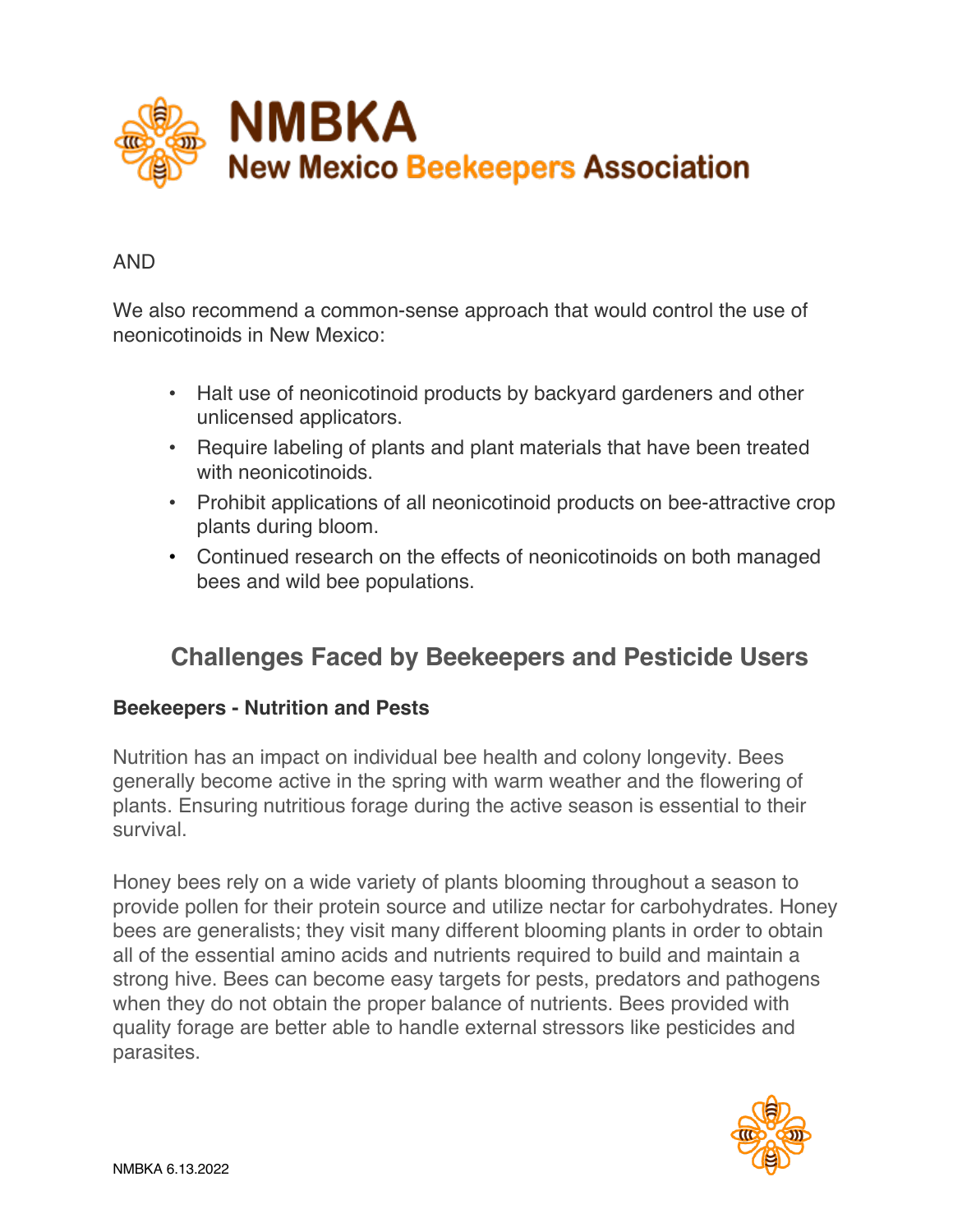

#### AND

We also recommend a common-sense approach that would control the use of neonicotinoids in New Mexico:

- Halt use of neonicotinoid products by backyard gardeners and other unlicensed applicators.
- . Require labeling of plants and plant materials that have been treated with neonicotinoids.
- Prohibit applications of all neonicotinoid products on bee-attractive crop plants during bloom.
- Continued research on the effects of neonicotinoids on both managed bees and wild bee populations.

# **Challenges Faced by Beekeepers and Pesticide Users**

#### **Beekeepers - Nutrition and Pests**

Nutrition has an impact on individual bee health and colony longevity. Bees generally become active in the spring with warm weather and the flowering of plants. Ensuring nutritious forage during the active season is essential to their survival.

Honey bees rely on a wide variety of plants blooming throughout a season to provide pollen for their protein source and utilize nectar for carbohydrates. Honey bees are generalists; they visit many different blooming plants in order to obtain all of the essential amino acids and nutrients required to build and maintain a strong hive. Bees can become easy targets for pests, predators and pathogens when they do not obtain the proper balance of nutrients. Bees provided with quality forage are better able to handle external stressors like pesticides and parasites.

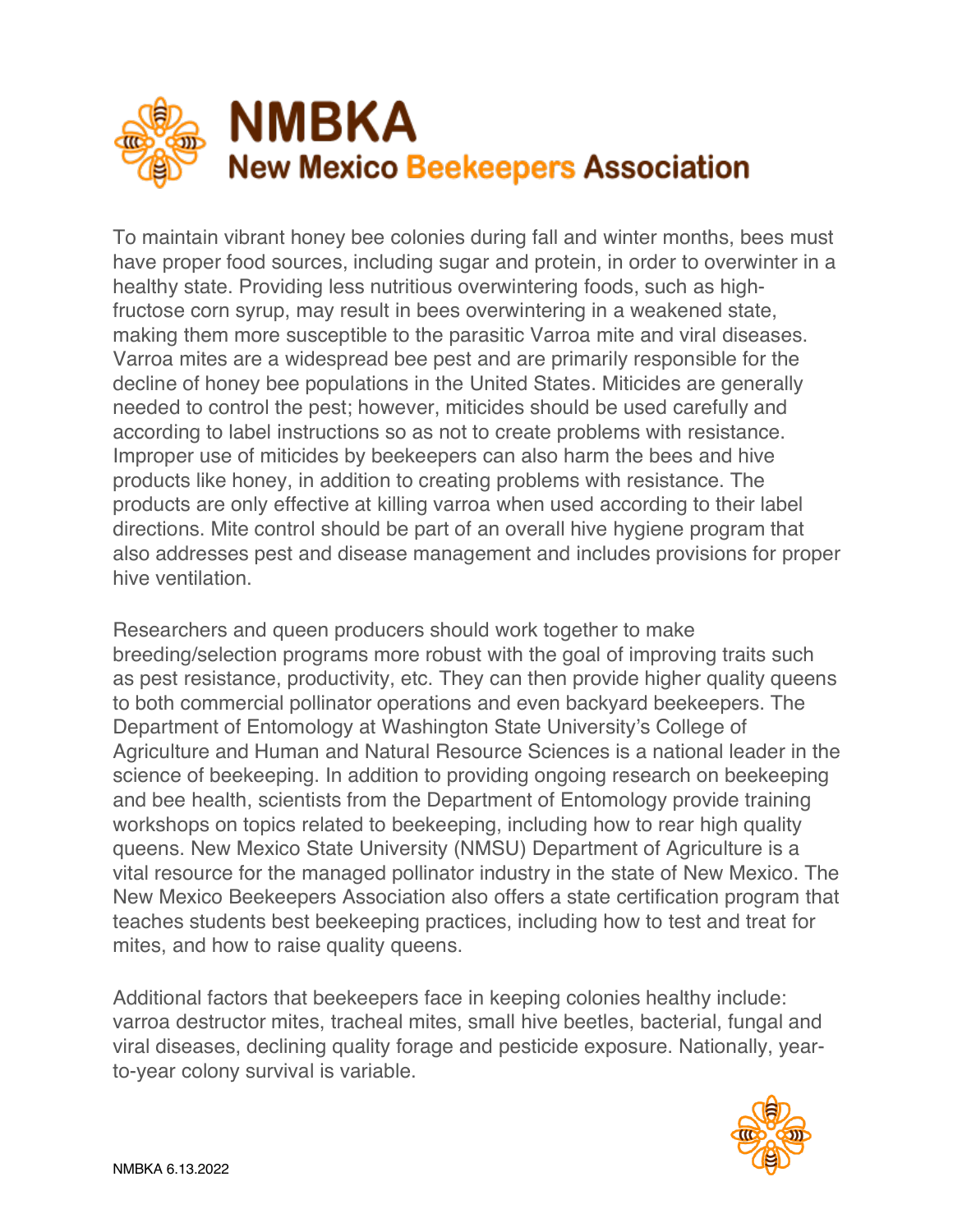

To maintain vibrant honey bee colonies during fall and winter months, bees must have proper food sources, including sugar and protein, in order to overwinter in a healthy state. Providing less nutritious overwintering foods, such as highfructose corn syrup, may result in bees overwintering in a weakened state, making them more susceptible to the parasitic Varroa mite and viral diseases. Varroa mites are a widespread bee pest and are primarily responsible for the decline of honey bee populations in the United States. Miticides are generally needed to control the pest; however, miticides should be used carefully and according to label instructions so as not to create problems with resistance. Improper use of miticides by beekeepers can also harm the bees and hive products like honey, in addition to creating problems with resistance. The products are only effective at killing varroa when used according to their label directions. Mite control should be part of an overall hive hygiene program that also addresses pest and disease management and includes provisions for proper hive ventilation.

Researchers and queen producers should work together to make breeding/selection programs more robust with the goal of improving traits such as pest resistance, productivity, etc. They can then provide higher quality queens to both commercial pollinator operations and even backyard beekeepers. The Department of Entomology at Washington State University's College of Agriculture and Human and Natural Resource Sciences is a national leader in the science of beekeeping. In addition to providing ongoing research on beekeeping and bee health, scientists from the Department of Entomology provide training workshops on topics related to beekeeping, including how to rear high quality queens. New Mexico State University (NMSU) Department of Agriculture is a vital resource for the managed pollinator industry in the state of New Mexico. The New Mexico Beekeepers Association also offers a state certification program that teaches students best beekeeping practices, including how to test and treat for mites, and how to raise quality queens.

Additional factors that beekeepers face in keeping colonies healthy include: varroa destructor mites, tracheal mites, small hive beetles, bacterial, fungal and viral diseases, declining quality forage and pesticide exposure. Nationally, yearto-year colony survival is variable.

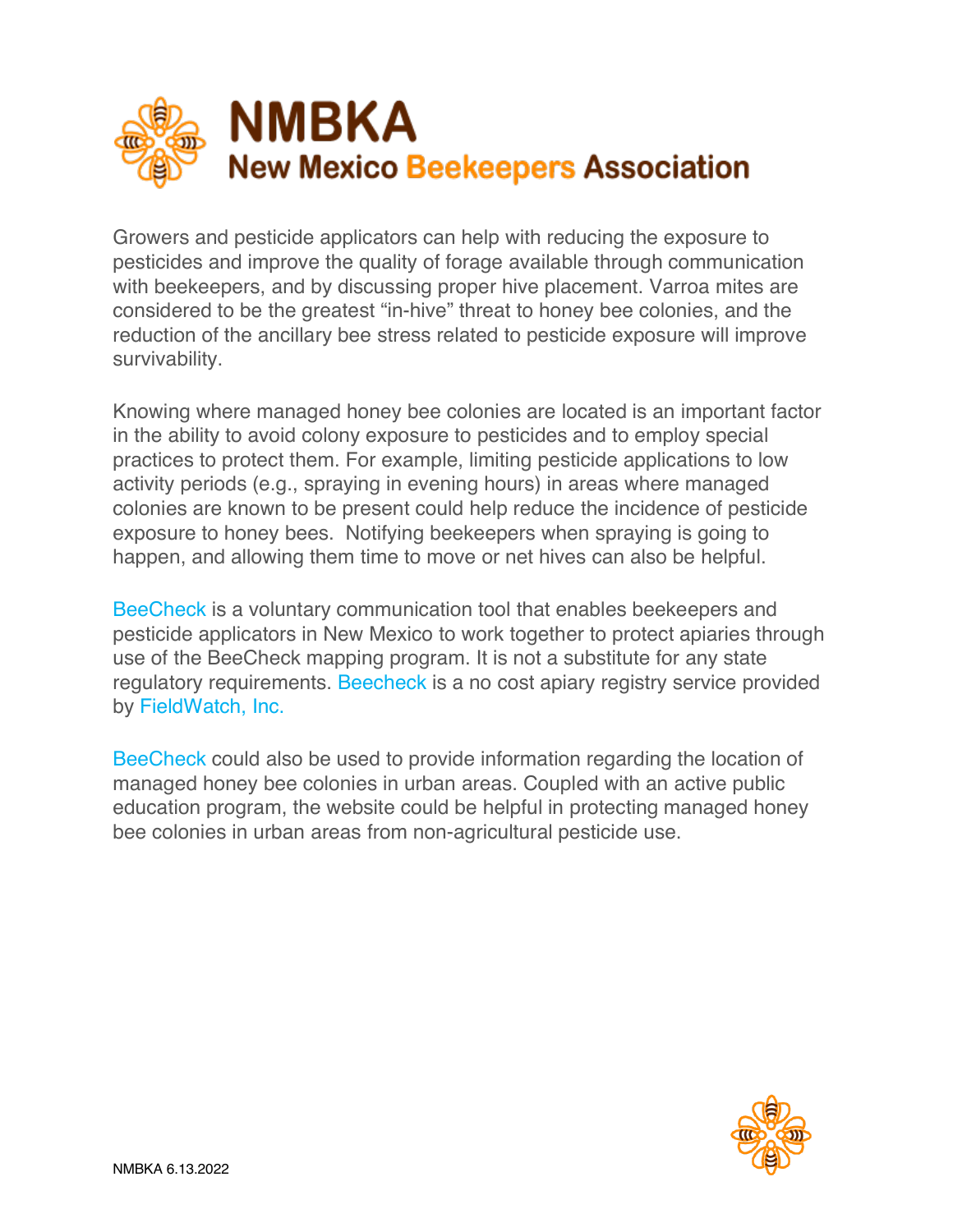

Growers and pesticide applicators can help with reducing the exposure to pesticides and improve the quality of forage available through communication with beekeepers, and by discussing proper hive placement. Varroa mites are considered to be the greatest "in-hive" threat to honey bee colonies, and the reduction of the ancillary bee stress related to pesticide exposure will improve survivability.

Knowing where managed honey bee colonies are located is an important factor in the ability to avoid colony exposure to pesticides and to employ special practices to protect them. For example, limiting pesticide applications to low activity periods (e.g., spraying in evening hours) in areas where managed colonies are known to be present could help reduce the incidence of pesticide exposure to honey bees. Notifying beekeepers when spraying is going to happen, and allowing them time to move or net hives can also be helpful.

BeeCheck is a voluntary communication tool that enables beekeepers and pesticide applicators in New Mexico to work together to protect apiaries through use of the BeeCheck mapping program. It is not a substitute for any state regulatory requirements. Beecheck is a no cost apiary registry service provided by FieldWatch, Inc.

BeeCheck could also be used to provide information regarding the location of managed honey bee colonies in urban areas. Coupled with an active public education program, the website could be helpful in protecting managed honey bee colonies in urban areas from non-agricultural pesticide use.

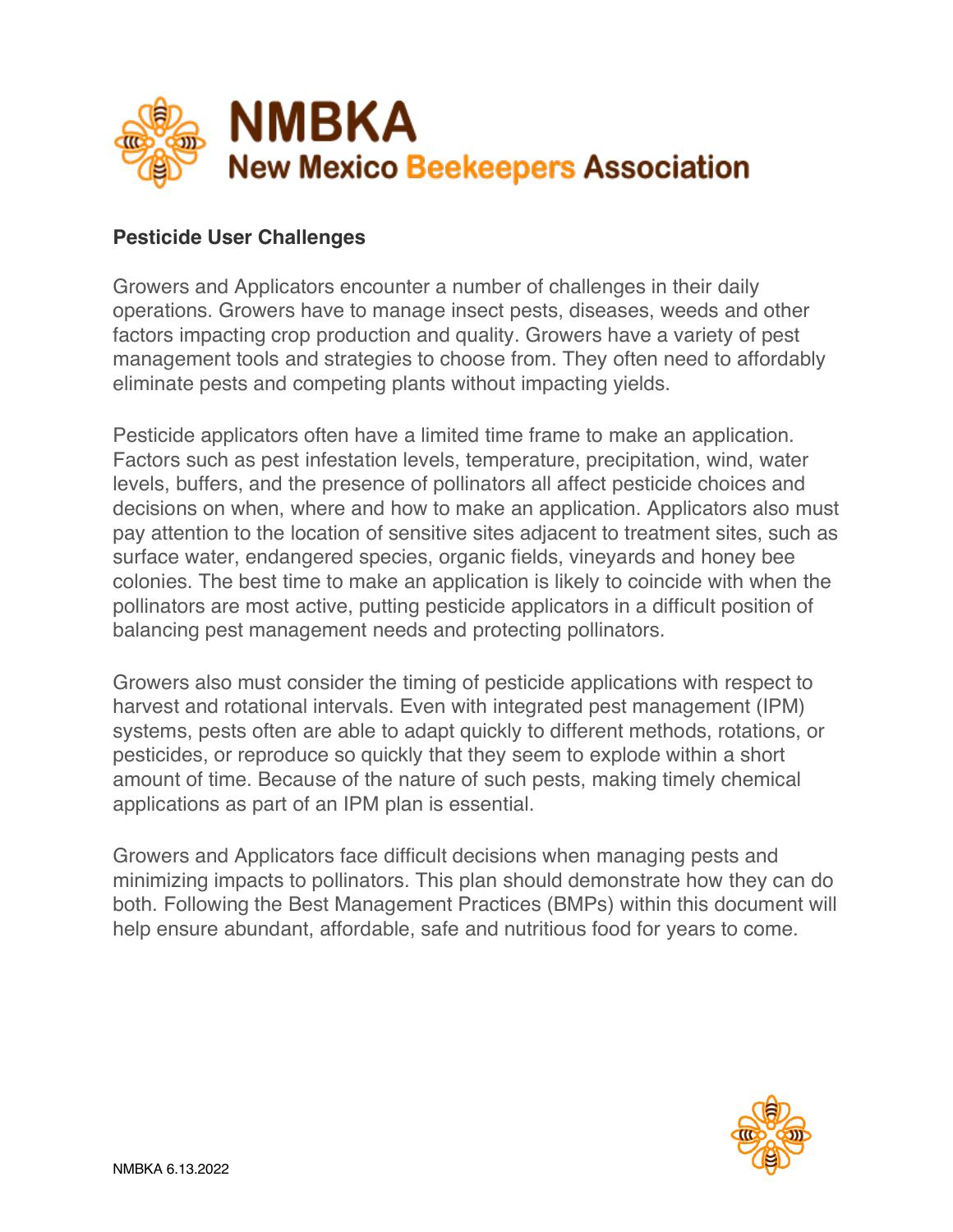

#### **Pesticide User Challenges**

Growers and Applicators encounter a number of challenges in their daily operations. Growers have to manage insect pests, diseases, weeds and other factors impacting crop production and quality. Growers have a variety of pest management tools and strategies to choose from. They often need to affordably eliminate pests and competing plants without impacting yields.

Pesticide applicators often have a limited time frame to make an application. Factors such as pest infestation levels, temperature, precipitation, wind, water levels, buffers, and the presence of pollinators all affect pesticide choices and decisions on when, where and how to make an application. Applicators also must pay attention to the location of sensitive sites adjacent to treatment sites, such as surface water, endangered species, organic fields, vineyards and honey bee colonies. The best time to make an application is likely to coincide with when the pollinators are most active, putting pesticide applicators in a difficult position of balancing pest management needs and protecting pollinators.

Growers also must consider the timing of pesticide applications with respect to harvest and rotational intervals. Even with integrated pest management (IPM) systems, pests often are able to adapt quickly to different methods, rotations, or pesticides, or reproduce so quickly that they seem to explode within a short amount of time. Because of the nature of such pests, making timely chemical applications as part of an IPM plan is essential.

Growers and Applicators face difficult decisions when managing pests and minimizing impacts to pollinators. This plan should demonstrate how they can do both. Following the Best Management Practices (BMPs) within this document will help ensure abundant, affordable, safe and nutritious food for years to come.

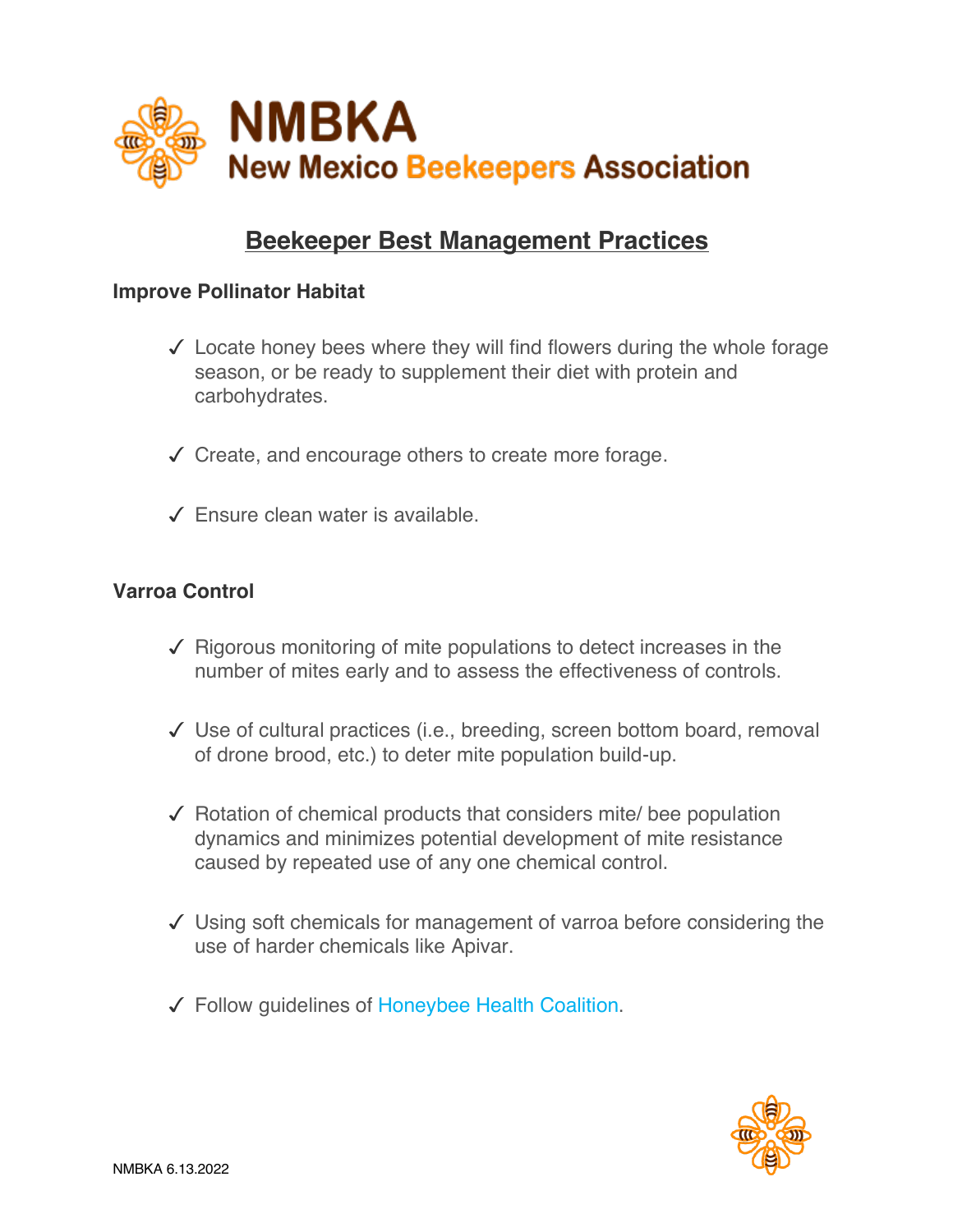

### **Beekeeper Best Management Practices**

#### **Improve Pollinator Habitat**

- $\checkmark$  Locate honey bees where they will find flowers during the whole forage season, or be ready to supplement their diet with protein and carbohydrates.
- $\sqrt{\phantom{a}}$  Create, and encourage others to create more forage.
- $\angle$  Ensure clean water is available.

#### **Varroa Control**

- $\sqrt{\phantom{a}}$  Rigorous monitoring of mite populations to detect increases in the number of mites early and to assess the effectiveness of controls.
- $\checkmark$  Use of cultural practices (i.e., breeding, screen bottom board, removal of drone brood, etc.) to deter mite population build-up.
- $\sqrt{\phantom{a}}$  Rotation of chemical products that considers mite/ bee population dynamics and minimizes potential development of mite resistance caused by repeated use of any one chemical control.
- $\checkmark$  Using soft chemicals for management of varroa before considering the use of harder chemicals like Apivar.
- √ Follow quidelines of Honeybee Health Coalition.

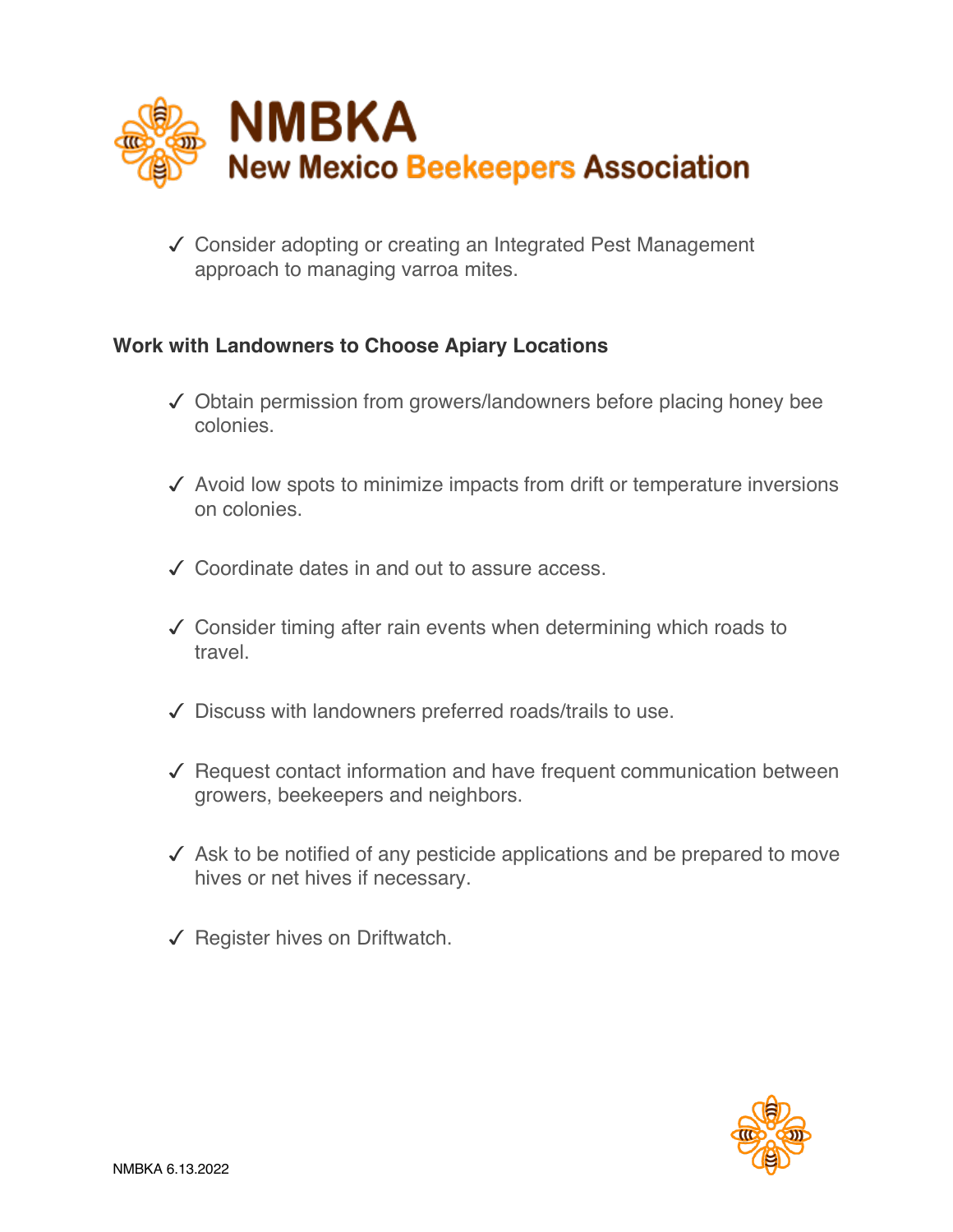

√ Consider adopting or creating an Integrated Pest Management approach to managing varroa mites.

#### **Work with Landowners to Choose Apiary Locations**

- $\checkmark$  Obtain permission from growers/landowners before placing honey bee colonies.
- $\sqrt{\ }$  Avoid low spots to minimize impacts from drift or temperature inversions on colonies.
- ! Coordinate dates in and out to assure access.
- $\checkmark$  Consider timing after rain events when determining which roads to travel.
- $\sqrt{\phantom{a}}$  Discuss with landowners preferred roads/trails to use.
- $\sqrt{\ }$  Request contact information and have frequent communication between growers, beekeepers and neighbors.
- $\checkmark$  Ask to be notified of any pesticide applications and be prepared to move hives or net hives if necessary.
- $\checkmark$  Register hives on Driftwatch.

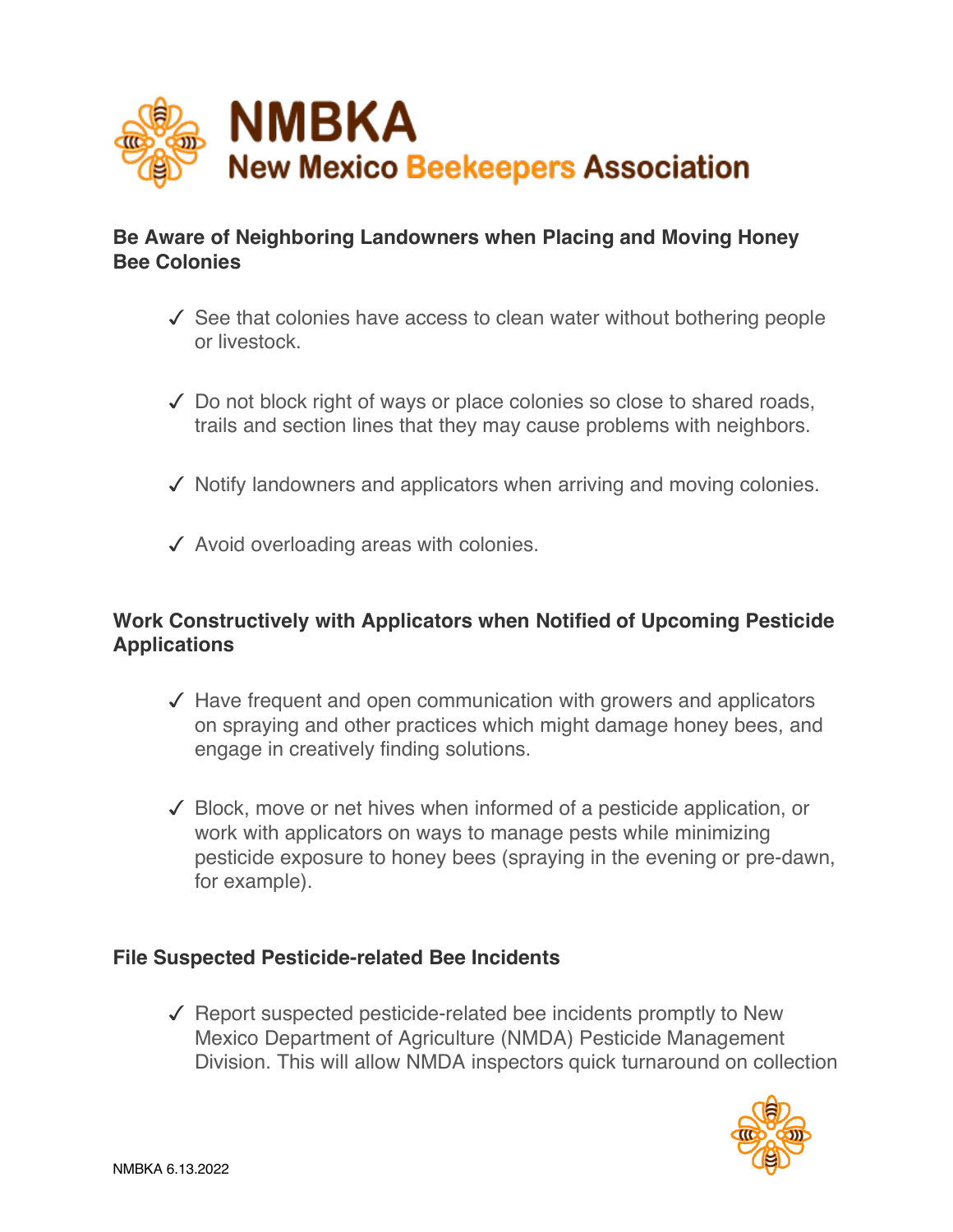

#### **Be Aware of Neighboring Landowners when Placing and Moving Honey Bee Colonies**

- $\checkmark$  See that colonies have access to clean water without bothering people or livestock.
- $\checkmark$  Do not block right of ways or place colonies so close to shared roads, trails and section lines that they may cause problems with neighbors.
- $\checkmark$  Notify landowners and applicators when arriving and moving colonies.
- $\sqrt{\phantom{a}}$  Avoid overloading areas with colonies.

#### **Work Constructively with Applicators when Notified of Upcoming Pesticide Applications**

- $\sqrt{\phantom{a}}$  Have frequent and open communication with growers and applicators on spraying and other practices which might damage honey bees, and engage in creatively finding solutions.
- $\checkmark$  Block, move or net hives when informed of a pesticide application, or work with applicators on ways to manage pests while minimizing pesticide exposure to honey bees (spraying in the evening or pre-dawn, for example).

#### **File Suspected Pesticide-related Bee Incidents**

 $\sqrt{\phantom{a}}$  Report suspected pesticide-related bee incidents promptly to New Mexico Department of Agriculture (NMDA) Pesticide Management Division. This will allow NMDA inspectors quick turnaround on collection

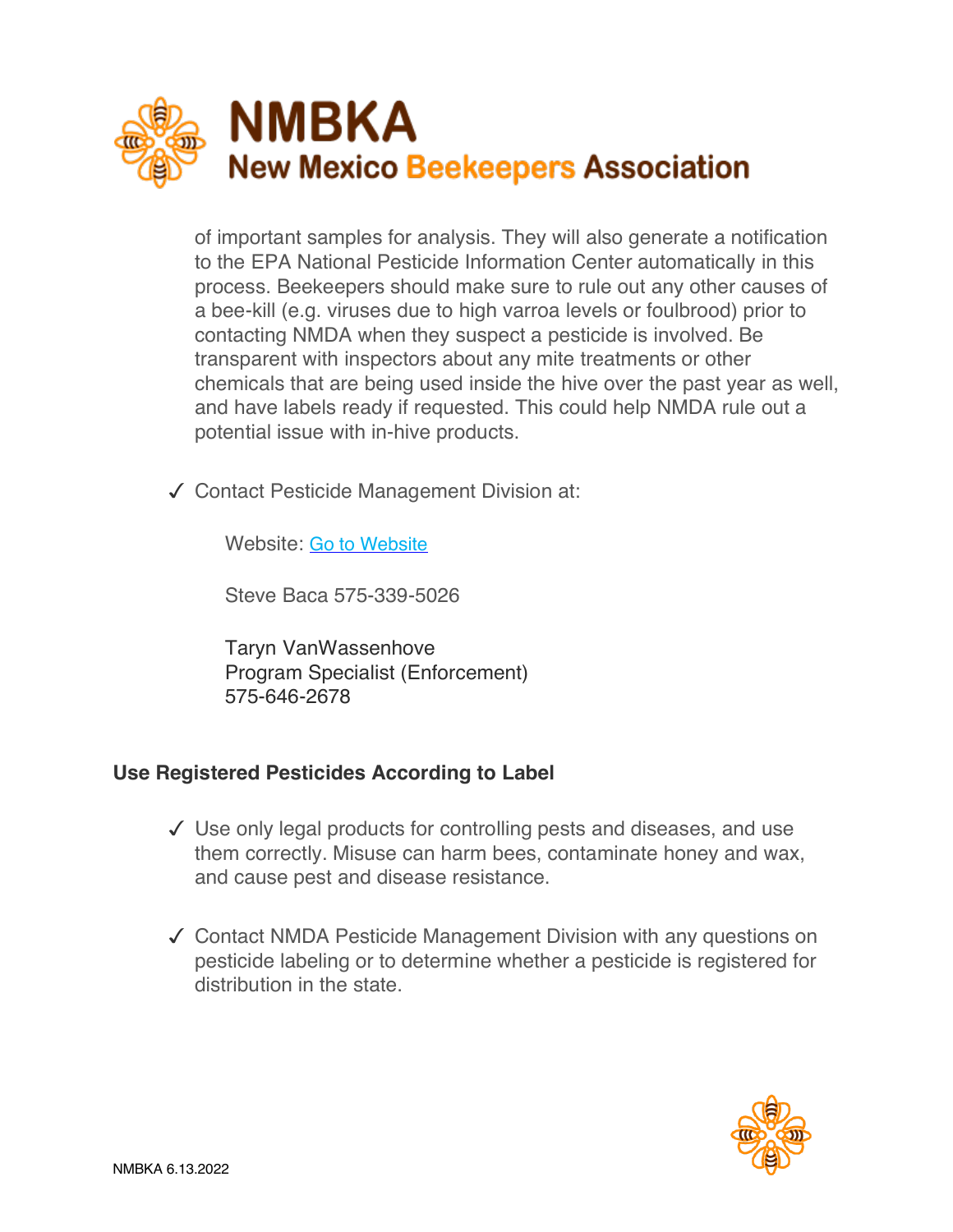

of important samples for analysis. They will also generate a notification to the EPA National Pesticide Information Center automatically in this process. Beekeepers should make sure to rule out any other causes of a bee-kill (e.g. viruses due to high varroa levels or foulbrood) prior to contacting NMDA when they suspect a pesticide is involved. Be transparent with inspectors about any mite treatments or other chemicals that are being used inside the hive over the past year as well, and have labels ready if requested. This could help NMDA rule out a potential issue with in-hive products.

 $\checkmark$  Contact Pesticide Management Division at:

Website: Go to Website

Steve Baca 575-339-5026

Taryn VanWassenhove Program Specialist (Enforcement) 575-646-2678

#### **Use Registered Pesticides According to Label**

- $\checkmark$  Use only legal products for controlling pests and diseases, and use them correctly. Misuse can harm bees, contaminate honey and wax, and cause pest and disease resistance.
- √ Contact NMDA Pesticide Management Division with any questions on pesticide labeling or to determine whether a pesticide is registered for distribution in the state.

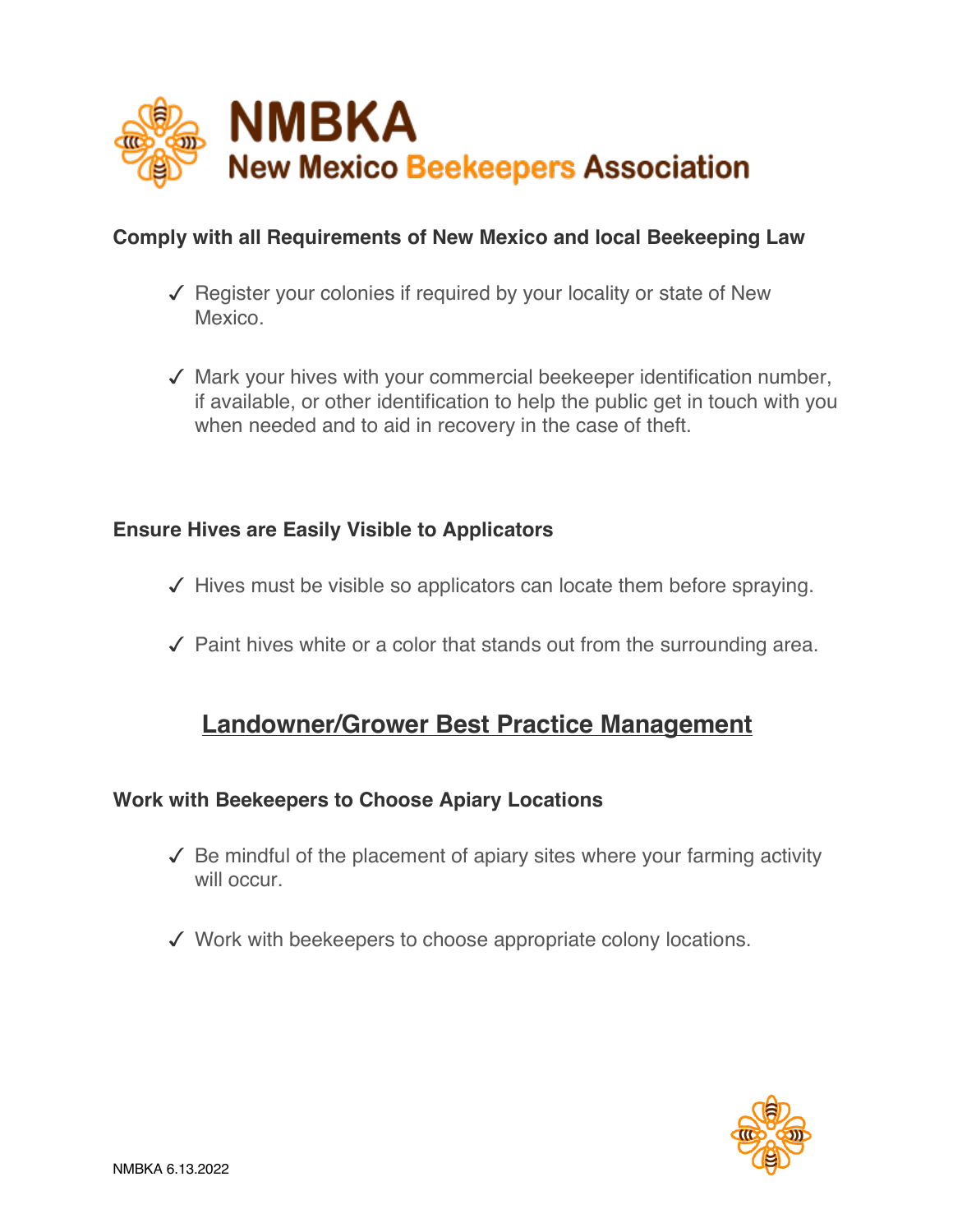

#### **Comply with all Requirements of New Mexico and local Beekeeping Law**

- $\sqrt{\ }$  Register your colonies if required by your locality or state of New Mexico.
- $\checkmark$  Mark your hives with your commercial beekeeper identification number, if available, or other identification to help the public get in touch with you when needed and to aid in recovery in the case of theft.

#### **Ensure Hives are Easily Visible to Applicators**

- $\checkmark$  Hives must be visible so applicators can locate them before spraying.
- $\checkmark$  Paint hives white or a color that stands out from the surrounding area.

### **Landowner/Grower Best Practice Management**

#### **Work with Beekeepers to Choose Apiary Locations**

- $\sqrt{\ }$  Be mindful of the placement of apiary sites where your farming activity will occur
- $\checkmark$  Work with beekeepers to choose appropriate colony locations.

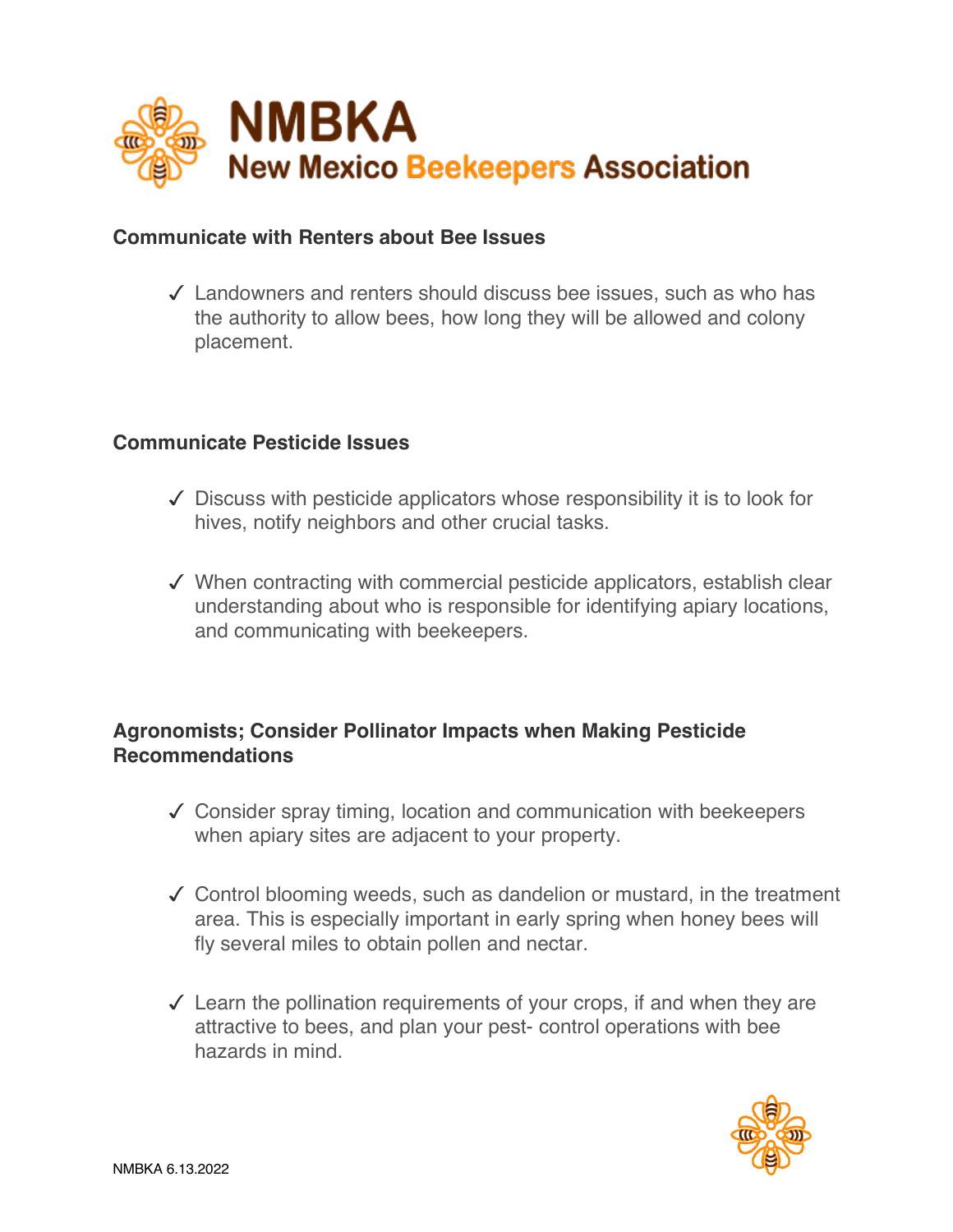

#### **Communicate with Renters about Bee Issues**

 $\sqrt{\phantom{a}}$  Landowners and renters should discuss bee issues, such as who has the authority to allow bees, how long they will be allowed and colony placement.

#### **Communicate Pesticide Issues**

- $\checkmark$  Discuss with pesticide applicators whose responsibility it is to look for hives, notify neighbors and other crucial tasks.
- $\checkmark$  When contracting with commercial pesticide applicators, establish clear understanding about who is responsible for identifying apiary locations, and communicating with beekeepers.

#### **Agronomists; Consider Pollinator Impacts when Making Pesticide Recommendations**

- $\checkmark$  Consider spray timing, location and communication with beekeepers when apiary sites are adjacent to your property.
- $\checkmark$  Control blooming weeds, such as dandelion or mustard, in the treatment area. This is especially important in early spring when honey bees will fly several miles to obtain pollen and nectar.
- $\checkmark$  Learn the pollination requirements of your crops, if and when they are attractive to bees, and plan your pest- control operations with bee hazards in mind.

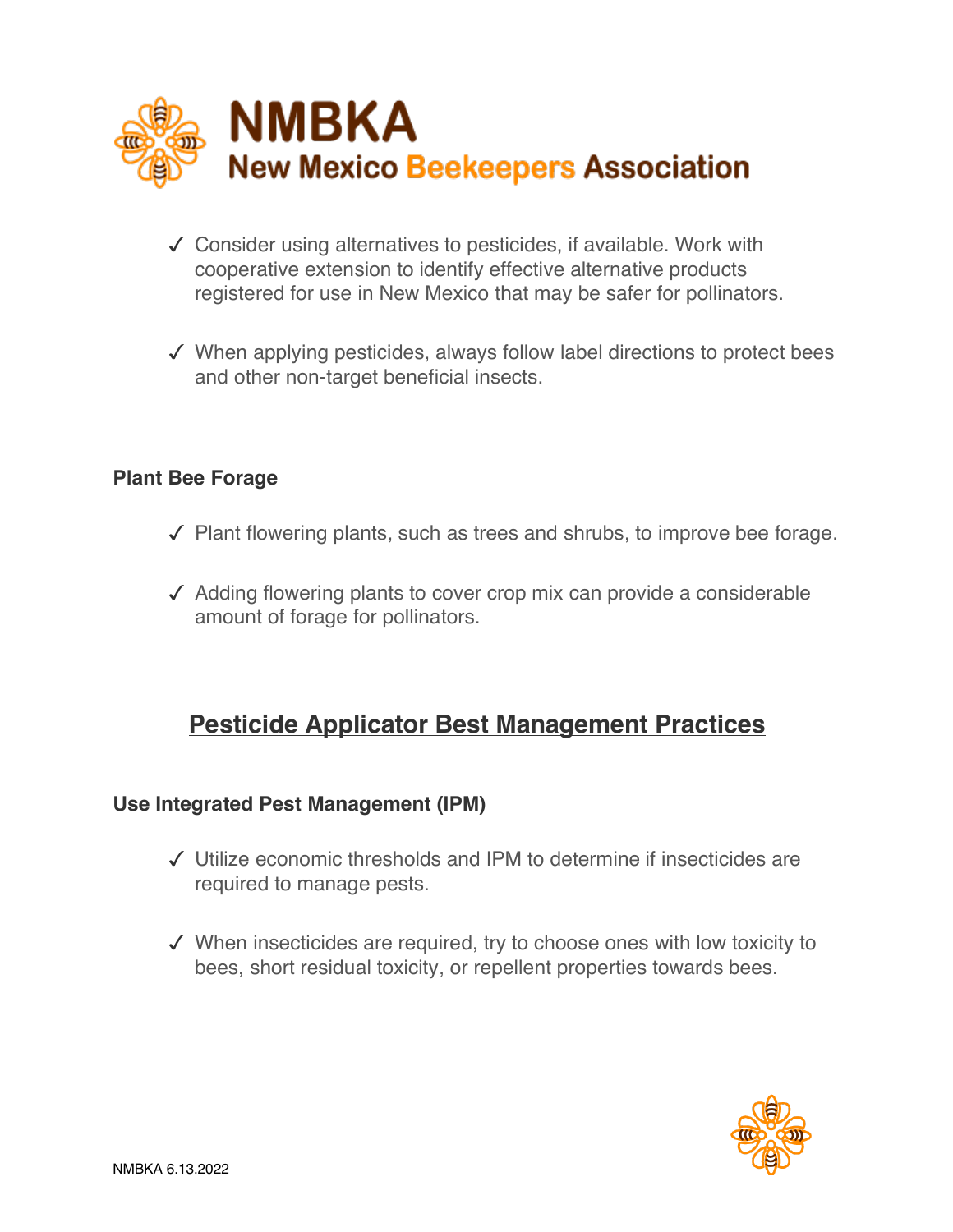

- $\checkmark$  Consider using alternatives to pesticides, if available. Work with cooperative extension to identify effective alternative products registered for use in New Mexico that may be safer for pollinators.
- $\checkmark$  When applying pesticides, always follow label directions to protect bees and other non-target beneficial insects.

#### **Plant Bee Forage**

- $\sqrt{\phantom{a}}$  Plant flowering plants, such as trees and shrubs, to improve bee forage.
- $\sqrt{\ }$  Adding flowering plants to cover crop mix can provide a considerable amount of forage for pollinators.

### **Pesticide Applicator Best Management Practices**

#### **Use Integrated Pest Management (IPM)**

- $\checkmark$  Utilize economic thresholds and IPM to determine if insecticides are required to manage pests.
- $\checkmark$  When insecticides are required, try to choose ones with low toxicity to bees, short residual toxicity, or repellent properties towards bees.

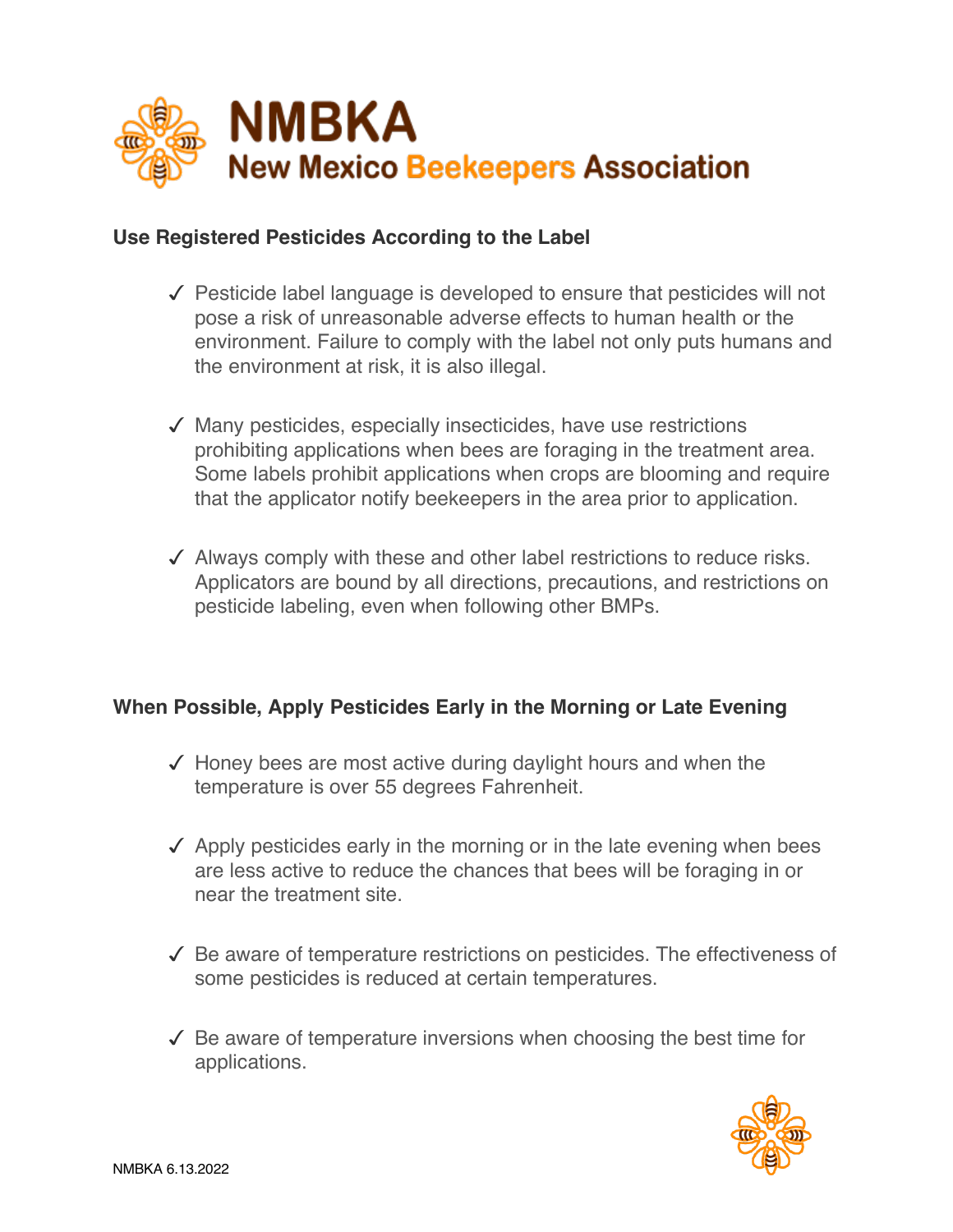

#### **Use Registered Pesticides According to the Label**

- $\sqrt{\ }$  Pesticide label language is developed to ensure that pesticides will not pose a risk of unreasonable adverse effects to human health or the environment. Failure to comply with the label not only puts humans and the environment at risk, it is also illegal.
- $\sqrt{\ }$  Many pesticides, especially insecticides, have use restrictions prohibiting applications when bees are foraging in the treatment area. Some labels prohibit applications when crops are blooming and require that the applicator notify beekeepers in the area prior to application.
- $\sqrt{\phantom{a}}$  Always comply with these and other label restrictions to reduce risks. Applicators are bound by all directions, precautions, and restrictions on pesticide labeling, even when following other BMPs.

#### **When Possible, Apply Pesticides Early in the Morning or Late Evening**

- $\checkmark$  Honey bees are most active during daylight hours and when the temperature is over 55 degrees Fahrenheit.
- $\sqrt{\phantom{a}}$  Apply pesticides early in the morning or in the late evening when bees are less active to reduce the chances that bees will be foraging in or near the treatment site.
- $\sqrt{\ }$  Be aware of temperature restrictions on pesticides. The effectiveness of some pesticides is reduced at certain temperatures.
- $\checkmark$  Be aware of temperature inversions when choosing the best time for applications.

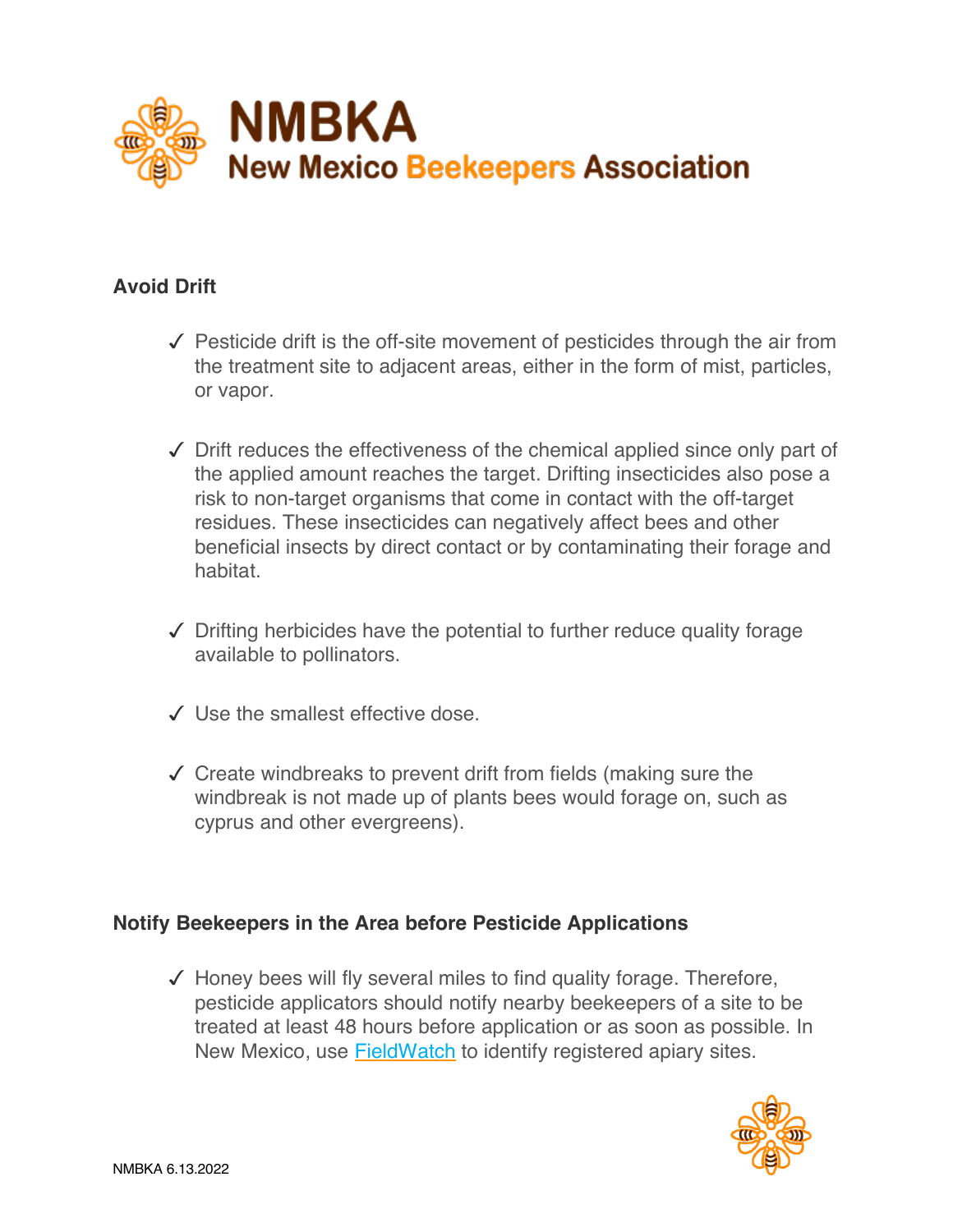

#### **Avoid Drift**

- $\checkmark$  Pesticide drift is the off-site movement of pesticides through the air from the treatment site to adjacent areas, either in the form of mist, particles, or vapor.
- $\checkmark$  Drift reduces the effectiveness of the chemical applied since only part of the applied amount reaches the target. Drifting insecticides also pose a risk to non-target organisms that come in contact with the off-target residues. These insecticides can negatively affect bees and other beneficial insects by direct contact or by contaminating their forage and habitat.
- $\sqrt{\phantom{a}}$  Drifting herbicides have the potential to further reduce quality forage available to pollinators.
- $\checkmark$  Use the smallest effective dose.
- $\checkmark$  Create windbreaks to prevent drift from fields (making sure the windbreak is not made up of plants bees would forage on, such as cyprus and other evergreens).

#### **Notify Beekeepers in the Area before Pesticide Applications**

 $\checkmark$  Honey bees will fly several miles to find quality forage. Therefore, pesticide applicators should notify nearby beekeepers of a site to be treated at least 48 hours before application or as soon as possible. In New Mexico, use **FieldWatch** to identify registered apiary sites.

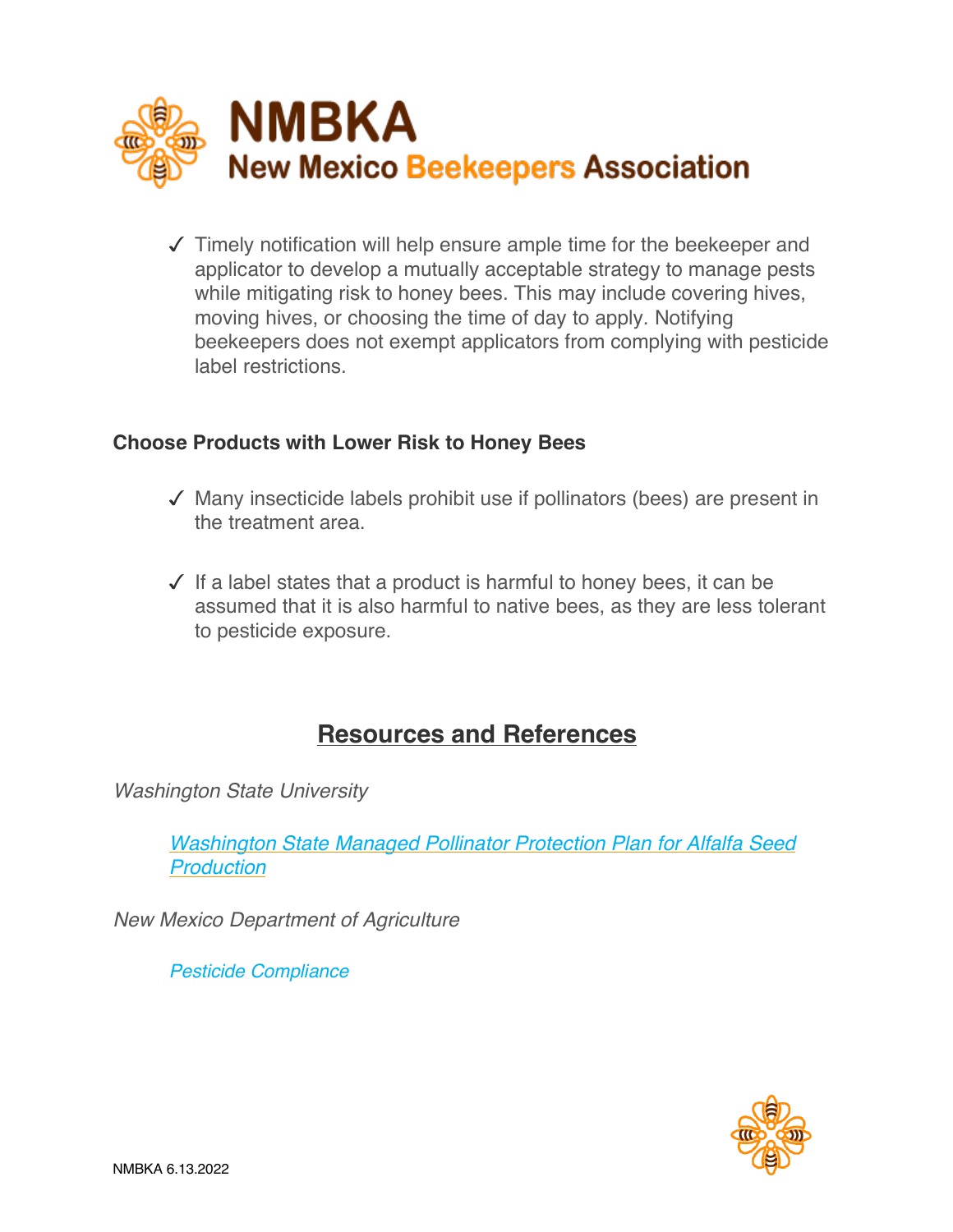

 $\sqrt{\ }$  Timely notification will help ensure ample time for the beekeeper and applicator to develop a mutually acceptable strategy to manage pests while mitigating risk to honey bees. This may include covering hives, moving hives, or choosing the time of day to apply. Notifying beekeepers does not exempt applicators from complying with pesticide label restrictions.

#### **Choose Products with Lower Risk to Honey Bees**

- $\sqrt{\ }$  Many insecticide labels prohibit use if pollinators (bees) are present in the treatment area.
- $\checkmark$  If a label states that a product is harmful to honey bees, it can be assumed that it is also harmful to native bees, as they are less tolerant to pesticide exposure.

### **Resources and References**

*Washington State University*

*Washington State Managed Pollinator Protection Plan for Alfalfa Seed Production*

*New Mexico Department of Agriculture*

*Pesticide Compliance*